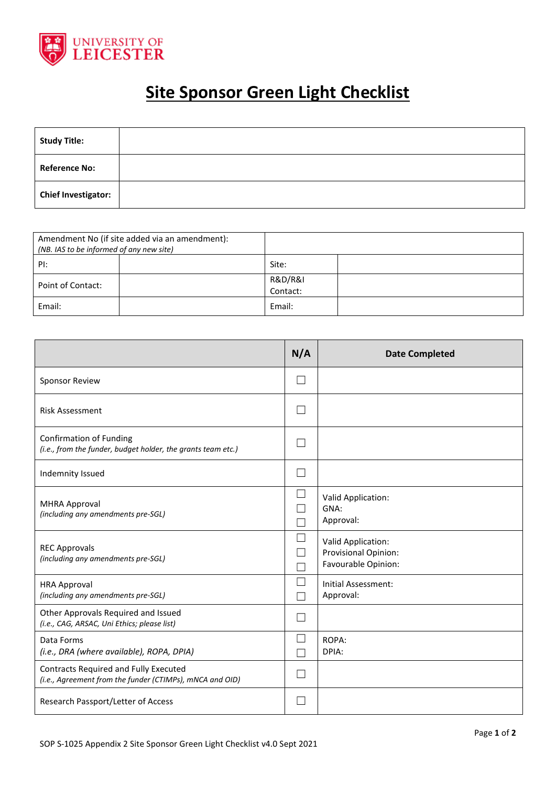

## **Site Sponsor Green Light Checklist**

| <b>Study Title:</b>        |  |
|----------------------------|--|
| <b>Reference No:</b>       |  |
| <b>Chief Investigator:</b> |  |

| Amendment No (if site added via an amendment):<br>(NB. IAS to be informed of any new site) |                                    |
|--------------------------------------------------------------------------------------------|------------------------------------|
| PI:                                                                                        | Site:                              |
| Point of Contact:                                                                          | <b>R&amp;D/R&amp;I</b><br>Contact: |
| Email:                                                                                     | Email:                             |

|                                                                                                   | N/A | <b>Date Completed</b>                                             |
|---------------------------------------------------------------------------------------------------|-----|-------------------------------------------------------------------|
| <b>Sponsor Review</b>                                                                             |     |                                                                   |
| <b>Risk Assessment</b>                                                                            |     |                                                                   |
| <b>Confirmation of Funding</b><br>(i.e., from the funder, budget holder, the grants team etc.)    |     |                                                                   |
| Indemnity Issued                                                                                  |     |                                                                   |
| <b>MHRA Approval</b><br>(including any amendments pre-SGL)                                        |     | Valid Application:<br>GNA:<br>Approval:                           |
| <b>REC Approvals</b><br>(including any amendments pre-SGL)                                        |     | Valid Application:<br>Provisional Opinion:<br>Favourable Opinion: |
| <b>HRA Approval</b><br>(including any amendments pre-SGL)                                         |     | Initial Assessment:<br>Approval:                                  |
| Other Approvals Required and Issued<br>(i.e., CAG, ARSAC, Uni Ethics; please list)                |     |                                                                   |
| Data Forms<br>(i.e., DRA (where available), ROPA, DPIA)                                           |     | ROPA:<br>DPIA:                                                    |
| Contracts Required and Fully Executed<br>(i.e., Agreement from the funder (CTIMPs), mNCA and OID) |     |                                                                   |
| Research Passport/Letter of Access                                                                |     |                                                                   |